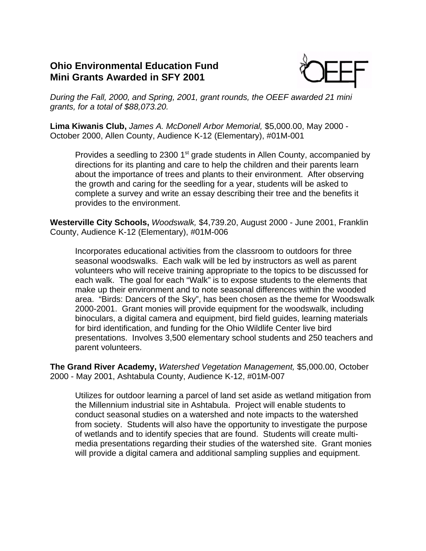## **Ohio Environmental Education Fund Mini Grants Awarded in SFY 2001**



*During the Fall, 2000, and Spring, 2001, grant rounds, the OEEF awarded 21 mini grants, for a total of \$88,073.20.*

**Lima Kiwanis Club,** *James A. McDonell Arbor Memorial,* \$5,000.00, May 2000 - October 2000, Allen County, Audience K-12 (Elementary), #01M-001

Provides a seedling to 2300 1<sup>st</sup> grade students in Allen County, accompanied by directions for its planting and care to help the children and their parents learn about the importance of trees and plants to their environment. After observing the growth and caring for the seedling for a year, students will be asked to complete a survey and write an essay describing their tree and the benefits it provides to the environment.

**Westerville City Schools,** *Woodswalk,* \$4,739.20, August 2000 - June 2001, Franklin County, Audience K-12 (Elementary), #01M-006

Incorporates educational activities from the classroom to outdoors for three seasonal woodswalks. Each walk will be led by instructors as well as parent volunteers who will receive training appropriate to the topics to be discussed for each walk. The goal for each "Walk" is to expose students to the elements that make up their environment and to note seasonal differences within the wooded area. "Birds: Dancers of the Sky", has been chosen as the theme for Woodswalk 2000-2001. Grant monies will provide equipment for the woodswalk, including binoculars, a digital camera and equipment, bird field guides, learning materials for bird identification, and funding for the Ohio Wildlife Center live bird presentations. Involves 3,500 elementary school students and 250 teachers and parent volunteers.

**The Grand River Academy,** *Watershed Vegetation Management,* \$5,000.00, October 2000 - May 2001, Ashtabula County, Audience K-12, #01M-007

Utilizes for outdoor learning a parcel of land set aside as wetland mitigation from the Millennium industrial site in Ashtabula. Project will enable students to conduct seasonal studies on a watershed and note impacts to the watershed from society. Students will also have the opportunity to investigate the purpose of wetlands and to identify species that are found. Students will create multimedia presentations regarding their studies of the watershed site. Grant monies will provide a digital camera and additional sampling supplies and equipment.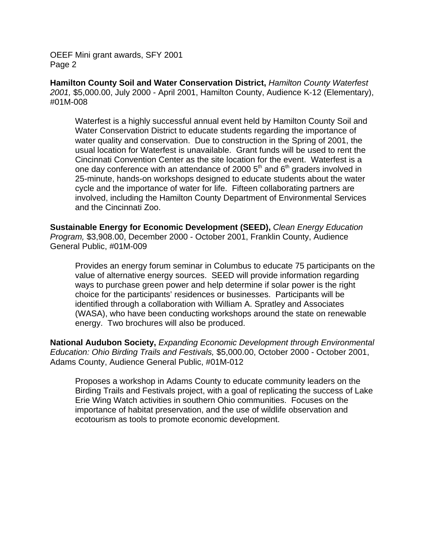**Hamilton County Soil and Water Conservation District,** *Hamilton County Waterfest 2001,* \$5,000.00, July 2000 - April 2001, Hamilton County, Audience K-12 (Elementary), #01M-008

Waterfest is a highly successful annual event held by Hamilton County Soil and Water Conservation District to educate students regarding the importance of water quality and conservation. Due to construction in the Spring of 2001, the usual location for Waterfest is unavailable. Grant funds will be used to rent the Cincinnati Convention Center as the site location for the event. Waterfest is a one day conference with an attendance of 2000  $5<sup>th</sup>$  and  $6<sup>th</sup>$  graders involved in 25-minute, hands-on workshops designed to educate students about the water cycle and the importance of water for life. Fifteen collaborating partners are involved, including the Hamilton County Department of Environmental Services and the Cincinnati Zoo.

**Sustainable Energy for Economic Development (SEED),** *Clean Energy Education Program,* \$3,908.00, December 2000 - October 2001, Franklin County, Audience General Public, #01M-009

Provides an energy forum seminar in Columbus to educate 75 participants on the value of alternative energy sources. SEED will provide information regarding ways to purchase green power and help determine if solar power is the right choice for the participants' residences or businesses. Participants will be identified through a collaboration with William A. Spratley and Associates (WASA), who have been conducting workshops around the state on renewable energy. Two brochures will also be produced.

**National Audubon Society,** *Expanding Economic Development through Environmental Education: Ohio Birding Trails and Festivals,* \$5,000.00, October 2000 - October 2001, Adams County, Audience General Public, #01M-012

Proposes a workshop in Adams County to educate community leaders on the Birding Trails and Festivals project, with a goal of replicating the success of Lake Erie Wing Watch activities in southern Ohio communities. Focuses on the importance of habitat preservation, and the use of wildlife observation and ecotourism as tools to promote economic development.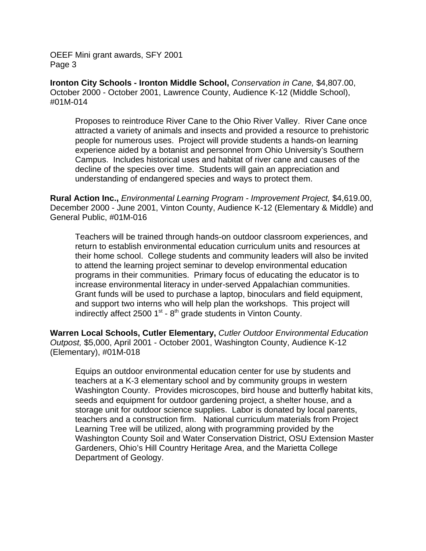**Ironton City Schools - Ironton Middle School,** *Conservation in Cane,* \$4,807.00, October 2000 - October 2001, Lawrence County, Audience K-12 (Middle School), #01M-014

Proposes to reintroduce River Cane to the Ohio River Valley. River Cane once attracted a variety of animals and insects and provided a resource to prehistoric people for numerous uses. Project will provide students a hands-on learning experience aided by a botanist and personnel from Ohio University's Southern Campus. Includes historical uses and habitat of river cane and causes of the decline of the species over time. Students will gain an appreciation and understanding of endangered species and ways to protect them.

**Rural Action Inc.,** *Environmental Learning Program - Improvement Project,* \$4,619.00, December 2000 - June 2001, Vinton County, Audience K-12 (Elementary & Middle) and General Public, #01M-016

Teachers will be trained through hands-on outdoor classroom experiences, and return to establish environmental education curriculum units and resources at their home school. College students and community leaders will also be invited to attend the learning project seminar to develop environmental education programs in their communities. Primary focus of educating the educator is to increase environmental literacy in under-served Appalachian communities. Grant funds will be used to purchase a laptop, binoculars and field equipment, and support two interns who will help plan the workshops. This project will indirectly affect 2500  $1<sup>st</sup>$  - 8<sup>th</sup> grade students in Vinton County.

**Warren Local Schools, Cutler Elementary,** *Cutler Outdoor Environmental Education Outpost,* \$5,000, April 2001 - October 2001, Washington County, Audience K-12 (Elementary), #01M-018

Equips an outdoor environmental education center for use by students and teachers at a K-3 elementary school and by community groups in western Washington County. Provides microscopes, bird house and butterfly habitat kits, seeds and equipment for outdoor gardening project, a shelter house, and a storage unit for outdoor science supplies. Labor is donated by local parents, teachers and a construction firm. National curriculum materials from Project Learning Tree will be utilized, along with programming provided by the Washington County Soil and Water Conservation District, OSU Extension Master Gardeners, Ohio's Hill Country Heritage Area, and the Marietta College Department of Geology.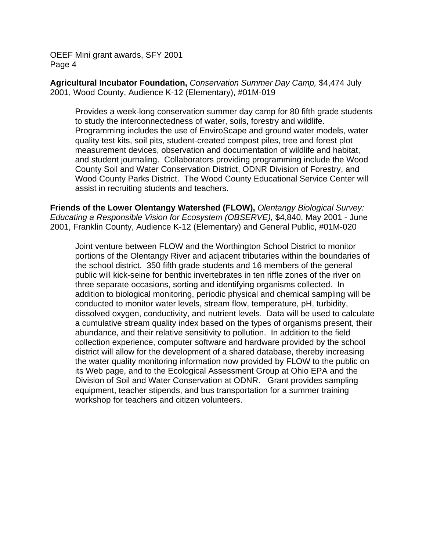**Agricultural Incubator Foundation,** *Conservation Summer Day Camp,* \$4,474 July 2001, Wood County, Audience K-12 (Elementary), #01M-019

Provides a week-long conservation summer day camp for 80 fifth grade students to study the interconnectedness of water, soils, forestry and wildlife. Programming includes the use of EnviroScape and ground water models, water quality test kits, soil pits, student-created compost piles, tree and forest plot measurement devices, observation and documentation of wildlife and habitat, and student journaling. Collaborators providing programming include the Wood County Soil and Water Conservation District, ODNR Division of Forestry, and Wood County Parks District. The Wood County Educational Service Center will assist in recruiting students and teachers.

**Friends of the Lower Olentangy Watershed (FLOW),** *Olentangy Biological Survey: Educating a Responsible Vision for Ecosystem (OBSERVE),* \$4,840, May 2001 - June 2001, Franklin County, Audience K-12 (Elementary) and General Public, #01M-020

Joint venture between FLOW and the Worthington School District to monitor portions of the Olentangy River and adjacent tributaries within the boundaries of the school district. 350 fifth grade students and 16 members of the general public will kick-seine for benthic invertebrates in ten riffle zones of the river on three separate occasions, sorting and identifying organisms collected. In addition to biological monitoring, periodic physical and chemical sampling will be conducted to monitor water levels, stream flow, temperature, pH, turbidity, dissolved oxygen, conductivity, and nutrient levels. Data will be used to calculate a cumulative stream quality index based on the types of organisms present, their abundance, and their relative sensitivity to pollution. In addition to the field collection experience, computer software and hardware provided by the school district will allow for the development of a shared database, thereby increasing the water quality monitoring information now provided by FLOW to the public on its Web page, and to the Ecological Assessment Group at Ohio EPA and the Division of Soil and Water Conservation at ODNR. Grant provides sampling equipment, teacher stipends, and bus transportation for a summer training workshop for teachers and citizen volunteers.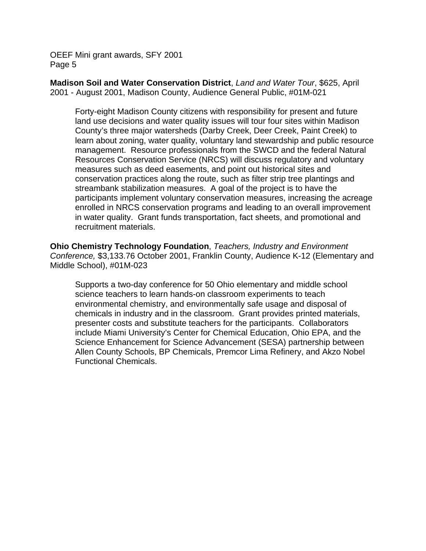**Madison Soil and Water Conservation District**, *Land and Water Tour*, \$625, April 2001 - August 2001, Madison County, Audience General Public, #01M-021

Forty-eight Madison County citizens with responsibility for present and future land use decisions and water quality issues will tour four sites within Madison County's three major watersheds (Darby Creek, Deer Creek, Paint Creek) to learn about zoning, water quality, voluntary land stewardship and public resource management. Resource professionals from the SWCD and the federal Natural Resources Conservation Service (NRCS) will discuss regulatory and voluntary measures such as deed easements, and point out historical sites and conservation practices along the route, such as filter strip tree plantings and streambank stabilization measures. A goal of the project is to have the participants implement voluntary conservation measures, increasing the acreage enrolled in NRCS conservation programs and leading to an overall improvement in water quality. Grant funds transportation, fact sheets, and promotional and recruitment materials.

**Ohio Chemistry Technology Foundation**, *Teachers, Industry and Environment Conference,* \$3,133.76 October 2001, Franklin County, Audience K-12 (Elementary and Middle School), #01M-023

Supports a two-day conference for 50 Ohio elementary and middle school science teachers to learn hands-on classroom experiments to teach environmental chemistry, and environmentally safe usage and disposal of chemicals in industry and in the classroom. Grant provides printed materials, presenter costs and substitute teachers for the participants. Collaborators include Miami University's Center for Chemical Education, Ohio EPA, and the Science Enhancement for Science Advancement (SESA) partnership between Allen County Schools, BP Chemicals, Premcor Lima Refinery, and Akzo Nobel Functional Chemicals.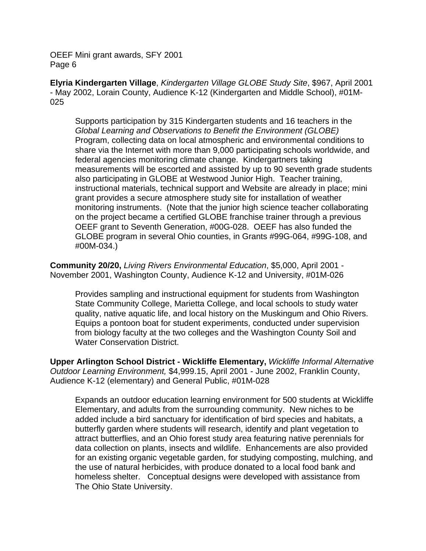**Elyria Kindergarten Village**, *Kindergarten Village GLOBE Study Site*, \$967, April 2001 - May 2002, Lorain County, Audience K-12 (Kindergarten and Middle School), #01M-025

Supports participation by 315 Kindergarten students and 16 teachers in the *Global Learning and Observations to Benefit the Environment (GLOBE)* Program, collecting data on local atmospheric and environmental conditions to share via the Internet with more than 9,000 participating schools worldwide, and federal agencies monitoring climate change. Kindergartners taking measurements will be escorted and assisted by up to 90 seventh grade students also participating in GLOBE at Westwood Junior High. Teacher training, instructional materials, technical support and Website are already in place; mini grant provides a secure atmosphere study site for installation of weather monitoring instruments. (Note that the junior high science teacher collaborating on the project became a certified GLOBE franchise trainer through a previous OEEF grant to Seventh Generation, #00G-028. OEEF has also funded the GLOBE program in several Ohio counties, in Grants #99G-064, #99G-108, and #00M-034.)

**Community 20/20,** *Living Rivers Environmental Education*, \$5,000, April 2001 - November 2001, Washington County, Audience K-12 and University, #01M-026

Provides sampling and instructional equipment for students from Washington State Community College, Marietta College, and local schools to study water quality, native aquatic life, and local history on the Muskingum and Ohio Rivers. Equips a pontoon boat for student experiments, conducted under supervision from biology faculty at the two colleges and the Washington County Soil and Water Conservation District.

**Upper Arlington School District - Wickliffe Elementary,** *Wickliffe Informal Alternative Outdoor Learning Environment,* \$4,999.15, April 2001 - June 2002, Franklin County, Audience K-12 (elementary) and General Public, #01M-028

Expands an outdoor education learning environment for 500 students at Wickliffe Elementary, and adults from the surrounding community. New niches to be added include a bird sanctuary for identification of bird species and habitats, a butterfly garden where students will research, identify and plant vegetation to attract butterflies, and an Ohio forest study area featuring native perennials for data collection on plants, insects and wildlife. Enhancements are also provided for an existing organic vegetable garden, for studying composting, mulching, and the use of natural herbicides, with produce donated to a local food bank and homeless shelter. Conceptual designs were developed with assistance from The Ohio State University.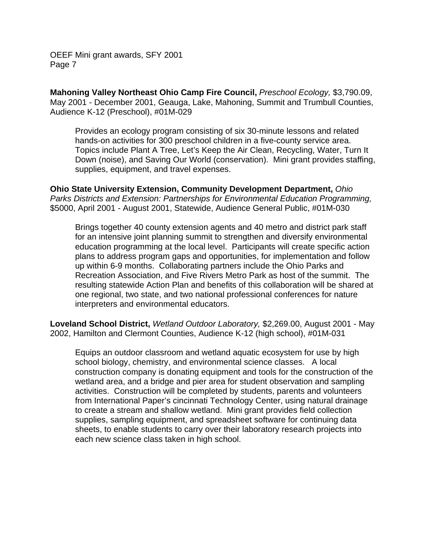**Mahoning Valley Northeast Ohio Camp Fire Council,** *Preschool Ecology,* \$3,790.09, May 2001 - December 2001, Geauga, Lake, Mahoning, Summit and Trumbull Counties, Audience K-12 (Preschool), #01M-029

Provides an ecology program consisting of six 30-minute lessons and related hands-on activities for 300 preschool children in a five-county service area. Topics include Plant A Tree, Let's Keep the Air Clean, Recycling, Water, Turn It Down (noise), and Saving Our World (conservation). Mini grant provides staffing, supplies, equipment, and travel expenses.

**Ohio State University Extension, Community Development Department,** *Ohio Parks Districts and Extension: Partnerships for Environmental Education Programming,* \$5000, April 2001 - August 2001, Statewide, Audience General Public, #01M-030

Brings together 40 county extension agents and 40 metro and district park staff for an intensive joint planning summit to strengthen and diversify environmental education programming at the local level. Participants will create specific action plans to address program gaps and opportunities, for implementation and follow up within 6-9 months. Collaborating partners include the Ohio Parks and Recreation Association, and Five Rivers Metro Park as host of the summit. The resulting statewide Action Plan and benefits of this collaboration will be shared at one regional, two state, and two national professional conferences for nature interpreters and environmental educators.

**Loveland School District,** *Wetland Outdoor Laboratory,* \$2,269.00, August 2001 - May 2002, Hamilton and Clermont Counties, Audience K-12 (high school), #01M-031

Equips an outdoor classroom and wetland aquatic ecosystem for use by high school biology, chemistry, and environmental science classes. A local construction company is donating equipment and tools for the construction of the wetland area, and a bridge and pier area for student observation and sampling activities. Construction will be completed by students, parents and volunteers from International Paper's cincinnati Technology Center, using natural drainage to create a stream and shallow wetland. Mini grant provides field collection supplies, sampling equipment, and spreadsheet software for continuing data sheets, to enable students to carry over their laboratory research projects into each new science class taken in high school.